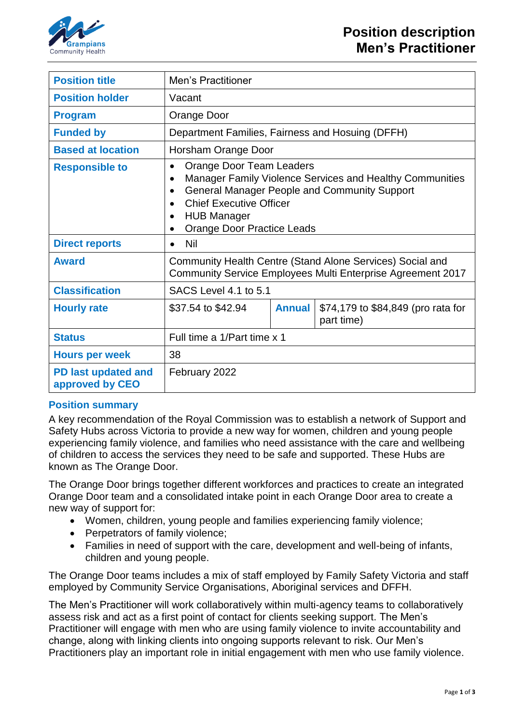

| <b>Position title</b>                  | Men's Practitioner                                                                                                                                                                                                                                    |               |                                                  |  |
|----------------------------------------|-------------------------------------------------------------------------------------------------------------------------------------------------------------------------------------------------------------------------------------------------------|---------------|--------------------------------------------------|--|
| <b>Position holder</b>                 | Vacant                                                                                                                                                                                                                                                |               |                                                  |  |
| <b>Program</b>                         | Orange Door                                                                                                                                                                                                                                           |               |                                                  |  |
| <b>Funded by</b>                       | Department Families, Fairness and Hosuing (DFFH)                                                                                                                                                                                                      |               |                                                  |  |
| <b>Based at location</b>               | Horsham Orange Door                                                                                                                                                                                                                                   |               |                                                  |  |
| <b>Responsible to</b>                  | Orange Door Team Leaders<br>$\bullet$<br>Manager Family Violence Services and Healthy Communities<br><b>General Manager People and Community Support</b><br><b>Chief Executive Officer</b><br><b>HUB Manager</b><br><b>Orange Door Practice Leads</b> |               |                                                  |  |
| <b>Direct reports</b>                  | Nil<br>$\bullet$                                                                                                                                                                                                                                      |               |                                                  |  |
| <b>Award</b>                           | Community Health Centre (Stand Alone Services) Social and<br>Community Service Employees Multi Enterprise Agreement 2017                                                                                                                              |               |                                                  |  |
| <b>Classification</b>                  | SACS Level 4.1 to 5.1                                                                                                                                                                                                                                 |               |                                                  |  |
| <b>Hourly rate</b>                     | \$37.54 to \$42.94                                                                                                                                                                                                                                    | <b>Annual</b> | \$74,179 to \$84,849 (pro rata for<br>part time) |  |
| <b>Status</b>                          | Full time a 1/Part time x 1                                                                                                                                                                                                                           |               |                                                  |  |
| <b>Hours per week</b>                  | 38                                                                                                                                                                                                                                                    |               |                                                  |  |
| PD last updated and<br>approved by CEO | February 2022                                                                                                                                                                                                                                         |               |                                                  |  |

## **Position summary**

A key recommendation of the Royal Commission was to establish a network of Support and Safety Hubs across Victoria to provide a new way for women, children and young people experiencing family violence, and families who need assistance with the care and wellbeing of children to access the services they need to be safe and supported. These Hubs are known as The Orange Door.

The Orange Door brings together different workforces and practices to create an integrated Orange Door team and a consolidated intake point in each Orange Door area to create a new way of support for:

- Women, children, young people and families experiencing family violence;
- Perpetrators of family violence;
- Families in need of support with the care, development and well-being of infants, children and young people.

The Orange Door teams includes a mix of staff employed by Family Safety Victoria and staff employed by Community Service Organisations, Aboriginal services and DFFH.

The Men's Practitioner will work collaboratively within multi-agency teams to collaboratively assess risk and act as a first point of contact for clients seeking support. The Men's Practitioner will engage with men who are using family violence to invite accountability and change, along with linking clients into ongoing supports relevant to risk. Our Men's Practitioners play an important role in initial engagement with men who use family violence.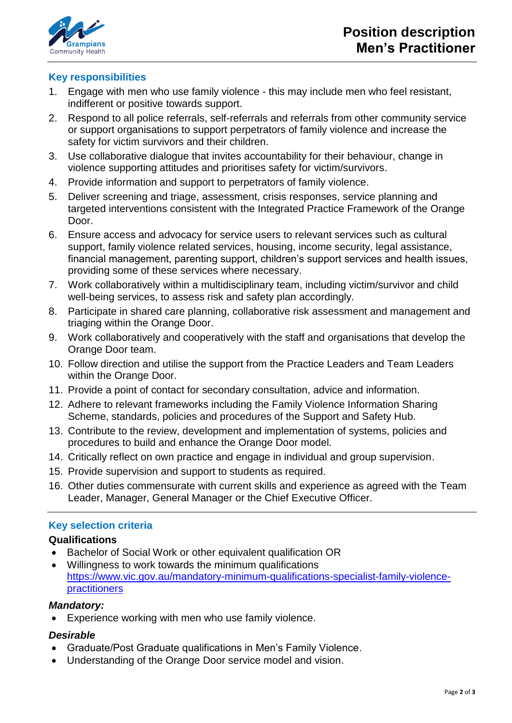

# **Key responsibilities**

- 1. Engage with men who use family violence this may include men who feel resistant, indifferent or positive towards support.
- 2. Respond to all police referrals, self-referrals and referrals from other community service or support organisations to support perpetrators of family violence and increase the safety for victim survivors and their children.
- 3. Use collaborative dialogue that invites accountability for their behaviour, change in violence supporting attitudes and prioritises safety for victim/survivors.
- 4. Provide information and support to perpetrators of family violence.
- 5. Deliver screening and triage, assessment, crisis responses, service planning and targeted interventions consistent with the Integrated Practice Framework of the Orange Door.
- 6. Ensure access and advocacy for service users to relevant services such as cultural support, family violence related services, housing, income security, legal assistance, financial management, parenting support, children's support services and health issues, providing some of these services where necessary.
- 7. Work collaboratively within a multidisciplinary team, including victim/survivor and child well-being services, to assess risk and safety plan accordingly.
- 8. Participate in shared care planning, collaborative risk assessment and management and triaging within the Orange Door.
- 9. Work collaboratively and cooperatively with the staff and organisations that develop the Orange Door team.
- 10. Follow direction and utilise the support from the Practice Leaders and Team Leaders within the Orange Door.
- 11. Provide a point of contact for secondary consultation, advice and information.
- 12. Adhere to relevant frameworks including the Family Violence Information Sharing Scheme, standards, policies and procedures of the Support and Safety Hub.
- 13. Contribute to the review, development and implementation of systems, policies and procedures to build and enhance the Orange Door model.
- 14. Critically reflect on own practice and engage in individual and group supervision.
- 15. Provide supervision and support to students as required.
- 16. Other duties commensurate with current skills and experience as agreed with the Team Leader, Manager, General Manager or the Chief Executive Officer.

## **Key selection criteria**

## **Qualifications**

- Bachelor of Social Work or other equivalent qualification OR
- Willingness to work towards the minimum qualifications [https://www.vic.gov.au/mandatory-minimum-qualifications-specialist-family-violence](https://www.vic.gov.au/mandatory-minimum-qualifications-specialist-family-violence-practitioners)[practitioners](https://www.vic.gov.au/mandatory-minimum-qualifications-specialist-family-violence-practitioners)

### *Mandatory:*

Experience working with men who use family violence.

#### *Desirable*

- Graduate/Post Graduate qualifications in Men's Family Violence.
- Understanding of the Orange Door service model and vision.